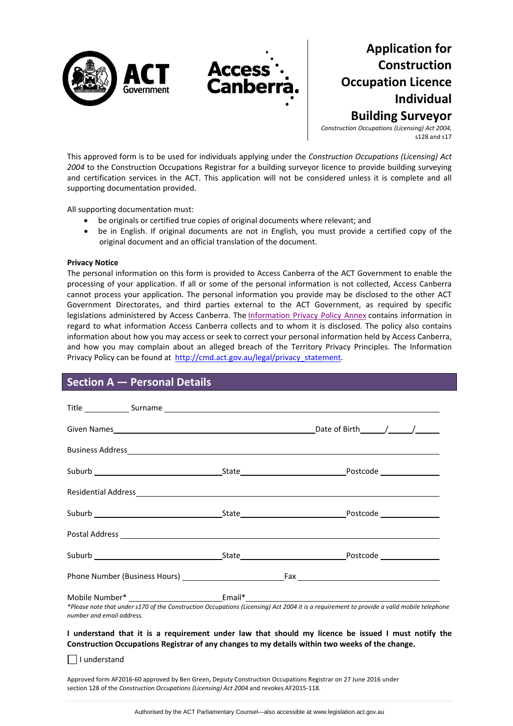

**Application for Construction Occupation Licence Individual Building Surveyor**

*Construction Occupations (Licensing) Act 2004,* s128 and s17

This approved form is to be used for individuals applying under the *Construction Occupations (Licensing) Act 2004* to the Construction Occupations Registrar for a building surveyor licence to provide building surveying and certification services in the ACT. This application will not be considered unless it is complete and all supporting documentation provided.

All supporting documentation must:

- be originals or certified true copies of original documents where relevant; and
- be in English. If original documents are not in English, you must provide a certified copy of the original document and an official translation of the document.

### **Privacy Notice**

The personal information on this form is provided to Access Canberra of the ACT Government to enable the processing of your application. If all or some of the personal information is not collected, Access Canberra cannot process your application. The personal information you provide may be disclosed to the other ACT Government Directorates, and third parties external to the ACT Government, as required by specific legislations administered by Access Canberra. The [Information](http://www.environment.act.gov.au/__data/assets/pdf_file/0006/633741/Information-Privacy-Policy-Annex.pdf) Privacy Policy Annex contains information in regard to what information Access Canberra collects and to whom it is disclosed. The policy also contains information about how you may access or seek to correct your personal information held by Access Canberra, and how you may complain about an alleged breach of the Territory Privacy Principles. The Information Privacy Policy can be found at [http://cmd.act.gov.au/legal/privacy\\_statement.](http://cmd.act.gov.au/legal/privacy_statement)

## **Section A — Personal Details**

| number and email address. | *Please note that under s170 of the Construction Occupations (Licensing) Act 2004 it is a requirement to provide a valid mobile telephone |
|---------------------------|-------------------------------------------------------------------------------------------------------------------------------------------|

 $\Box$  I understand

Approved form AF2016‐60 approved by Ben Green, Deputy Construction Occupations Registrar on 27 June 2016 under section 128 of the *Construction Occupations (Licensing) Act 2004* and revokes AF2015‐118.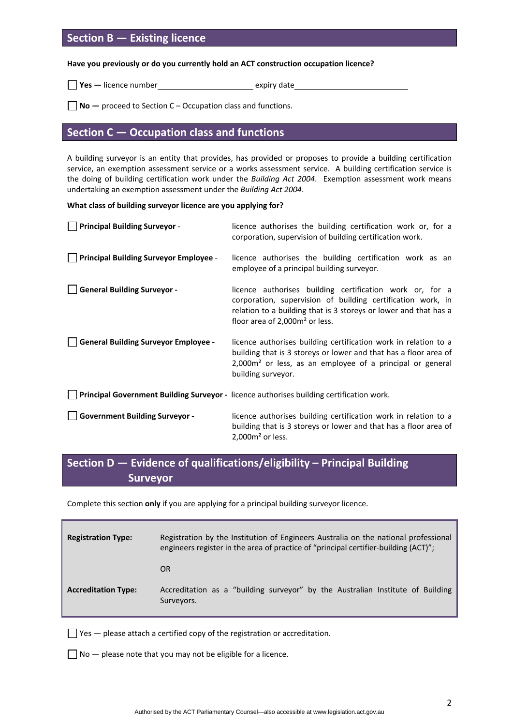# **Section B — Existing licence**

### **Have you previously or do you currently hold an ACT construction occupation licence?**

**Yes** — licence number<br> **Yes** — licence number<br> **Expiry date** 

**No —** proceed to Section C – Occupation class and functions.

# **Section C — Occupation class and functions**

A building surveyor is an entity that provides, has provided or proposes to provide a building certification service, an exemption assessment service or a works assessment service. A building certification service is the doing of building certification work under the *Building Act 2004*. Exemption assessment work means undertaking an exemption assessment under the *Building Act 2004*.

### **What class of building surveyor licence are you applying for?**

| <b>Principal Building Surveyor -</b>          | licence authorises the building certification work or, for a<br>corporation, supervision of building certification work.                                                                                                           |
|-----------------------------------------------|------------------------------------------------------------------------------------------------------------------------------------------------------------------------------------------------------------------------------------|
| <b>Principal Building Surveyor Employee -</b> | licence authorises the building certification work as an<br>employee of a principal building surveyor.                                                                                                                             |
| <b>General Building Surveyor -</b>            | licence authorises building certification work or, for a<br>corporation, supervision of building certification work, in<br>relation to a building that is 3 storeys or lower and that has a<br>floor area of $2,000m^2$ or less.   |
| <b>General Building Surveyor Employee -</b>   | licence authorises building certification work in relation to a<br>building that is 3 storeys or lower and that has a floor area of<br>2,000m <sup>2</sup> or less, as an employee of a principal or general<br>building surveyor. |
|                                               | Principal Government Building Surveyor - licence authorises building certification work.                                                                                                                                           |
| <b>Government Building Surveyor -</b>         | licence authorises building certification work in relation to a<br>building that is 3 storeys or lower and that has a floor area of<br>$2,000m2$ or less.                                                                          |

# **Section D — Evidence of qualifications/eligibility – Principal Building Surveyor**

Complete this section **only** if you are applying for a principal building surveyor licence.

| <b>Registration Type:</b>  | Registration by the Institution of Engineers Australia on the national professional<br>engineers register in the area of practice of "principal certifier-building (ACT)"; |
|----------------------------|----------------------------------------------------------------------------------------------------------------------------------------------------------------------------|
|                            | OR.                                                                                                                                                                        |
| <b>Accreditation Type:</b> | Accreditation as a "building surveyor" by the Australian Institute of Building<br>Surveyors.                                                                               |

 $\Box$  Yes  $-$  please attach a certified copy of the registration or accreditation.

 $\Box$  No  $-$  please note that you may not be eligible for a licence.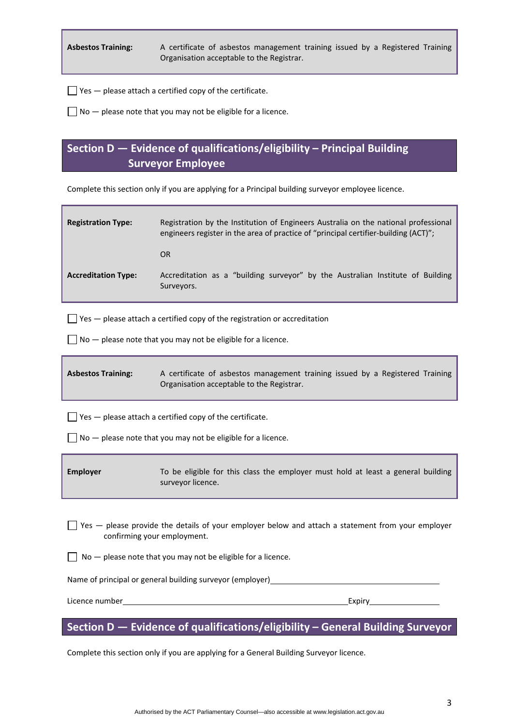**Asbestos Training:**  A certificate of asbestos management training issued by a Registered Training Organisation acceptable to the Registrar.

 $\Box$  Yes  $-$  please attach a certified copy of the certificate.

 $\Box$  No  $-$  please note that you may not be eligible for a licence.

# **Section D — Evidence of qualifications/eligibility – Principal Building Surveyor Employee**

Complete this section only if you are applying for a Principal building surveyor employee licence.

| <b>Registration Type:</b>  | Registration by the Institution of Engineers Australia on the national professional<br>engineers register in the area of practice of "principal certifier-building (ACT)"; |  |  |
|----------------------------|----------------------------------------------------------------------------------------------------------------------------------------------------------------------------|--|--|
|                            | <b>OR</b>                                                                                                                                                                  |  |  |
| <b>Accreditation Type:</b> | Accreditation as a "building surveyor" by the Australian Institute of Building<br>Surveyors.                                                                               |  |  |

 $\Box$  Yes  $-$  please attach a certified copy of the registration or accreditation

 $\Box$  No  $-$  please note that you may not be eligible for a licence.

| <b>Asbestos Training:</b> | A certificate of asbestos management training issued by a Registered Training |
|---------------------------|-------------------------------------------------------------------------------|
|                           | Organisation acceptable to the Registrar.                                     |

 $\Box$  Yes  $-$  please attach a certified copy of the certificate.

 $\Box$  No  $-$  please note that you may not be eligible for a licence.

**Employer**  To be eligible for this class the employer must hold at least a general building surveyor licence.

 $\Box$  Yes  $-$  please provide the details of your employer below and attach a statement from your employer confirming your employment.

 $\Box$  No  $-$  please note that you may not be eligible for a licence.

Name of principal or general building surveyor (employer)

Licence number Expiry

## **Section D — Evidence of qualifications/eligibility – General Building Surveyor**

Complete this section only if you are applying for a General Building Surveyor licence.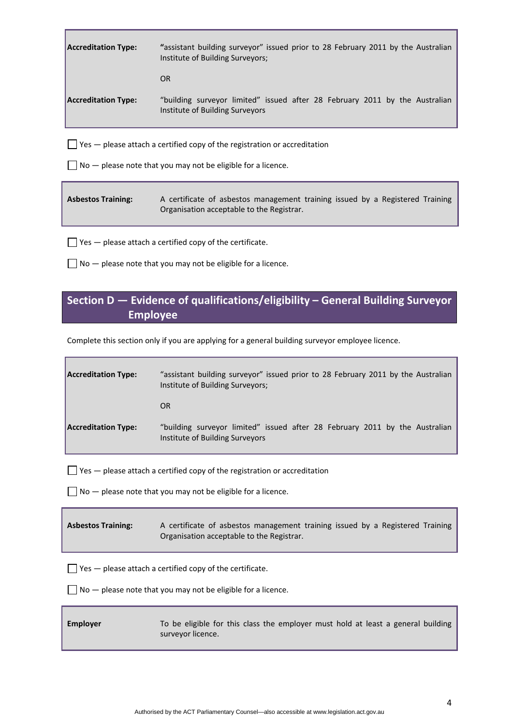| <b>Accreditation Type:</b> | "assistant building surveyor" issued prior to 28 February 2011 by the Australian<br>Institute of Building Surveyors; |
|----------------------------|----------------------------------------------------------------------------------------------------------------------|
|                            | <b>OR</b>                                                                                                            |
| <b>Accreditation Type:</b> | "building surveyor limited" issued after 28 February 2011 by the Australian<br>Institute of Building Surveyors       |
|                            | $\vert$ $\vert$ Yes $\vert$ please attach a certified copy of the registration or accreditation                      |

 $\Box$  No  $-$  please note that you may not be eligible for a licence.

| <b>Asbestos Training:</b> | A certificate of asbestos management training issued by a Registered Training |  |  |  |
|---------------------------|-------------------------------------------------------------------------------|--|--|--|
|                           | Organisation acceptable to the Registrar.                                     |  |  |  |

 $\Box$  Yes  $-$  please attach a certified copy of the certificate.

 $\Box$  No  $-$  please note that you may not be eligible for a licence.

# **Section D — Evidence of qualifications/eligibility – General Building Surveyor Employee**

Complete this section only if you are applying for a general building surveyor employee licence.

| <b>Accreditation Type:</b> | "assistant building surveyor" issued prior to 28 February 2011 by the Australian<br>Institute of Building Surveyors; |
|----------------------------|----------------------------------------------------------------------------------------------------------------------|
|                            | OR.                                                                                                                  |
| <b>Accreditation Type:</b> | "building surveyor limited" issued after 28 February 2011 by the Australian<br>Institute of Building Surveyors       |

 $\Box$  Yes  $-$  please attach a certified copy of the registration or accreditation

 $\Box$  No  $-$  please note that you may not be eligible for a licence.

| <b>Asbestos Training:</b> | A certificate of asbestos management training issued by a Registered Training |
|---------------------------|-------------------------------------------------------------------------------|
|                           | Organisation acceptable to the Registrar.                                     |

 $\Box$  Yes  $-$  please attach a certified copy of the certificate.

 $\Box$  No  $-$  please note that you may not be eligible for a licence.

| Employer | To be eligible for this class the employer must hold at least a general building |
|----------|----------------------------------------------------------------------------------|
|          | surveyor licence.                                                                |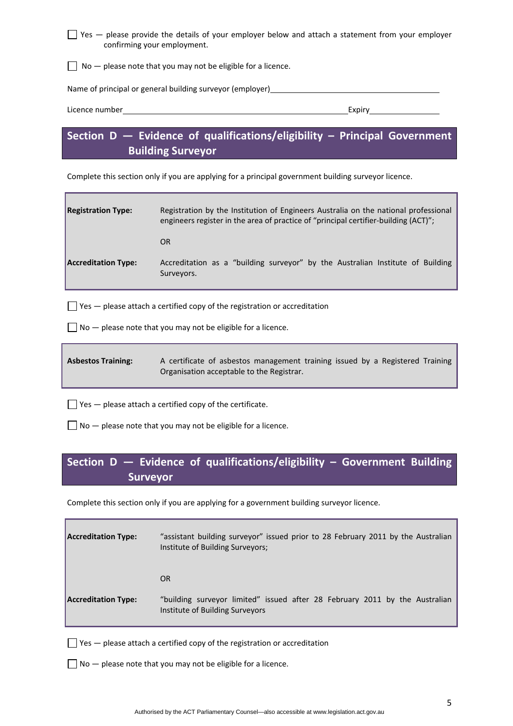Yes — please provide the details of your employer below and attach a statement from your employer confirming your employment.

 $\Box$  No  $-$  please note that you may not be eligible for a licence.

Name of principal or general building surveyor (employer)

| $\cdot$ $\cdot$<br>Licence number | ∠xpirv |
|-----------------------------------|--------|
|                                   |        |

# **Section D — Evidence of qualifications/eligibility – Principal Government Building Surveyor**

Complete this section only if you are applying for a principal government building surveyor licence.

| <b>Registration Type:</b>  | Registration by the Institution of Engineers Australia on the national professional<br>engineers register in the area of practice of "principal certifier-building (ACT)"; |  |  |
|----------------------------|----------------------------------------------------------------------------------------------------------------------------------------------------------------------------|--|--|
|                            | 0R                                                                                                                                                                         |  |  |
| <b>Accreditation Type:</b> | Accreditation as a "building surveyor" by the Australian Institute of Building<br>Surveyors.                                                                               |  |  |

 $\Box$  Yes  $-$  please attach a certified copy of the registration or accreditation

 $\Box$  No  $-$  please note that you may not be eligible for a licence.

**Asbestos Training:**  A certificate of asbestos management training issued by a Registered Training Organisation acceptable to the Registrar.

 $\Box$  Yes  $-$  please attach a certified copy of the certificate.

 $\Box$  No  $-$  please note that you may not be eligible for a licence.

# **Section D — Evidence of qualifications/eligibility – Government Building Surveyor**

Complete this section only if you are applying for a government building surveyor licence.

| <b>Accreditation Type:</b> | "assistant building surveyor" issued prior to 28 February 2011 by the Australian<br>Institute of Building Surveyors; |
|----------------------------|----------------------------------------------------------------------------------------------------------------------|
|                            | OR                                                                                                                   |
| <b>Accreditation Type:</b> | "building surveyor limited" issued after 28 February 2011 by the Australian<br>Institute of Building Surveyors       |

 $\Box$  Yes  $-$  please attach a certified copy of the registration or accreditation

 $\Box$  No  $-$  please note that you may not be eligible for a licence.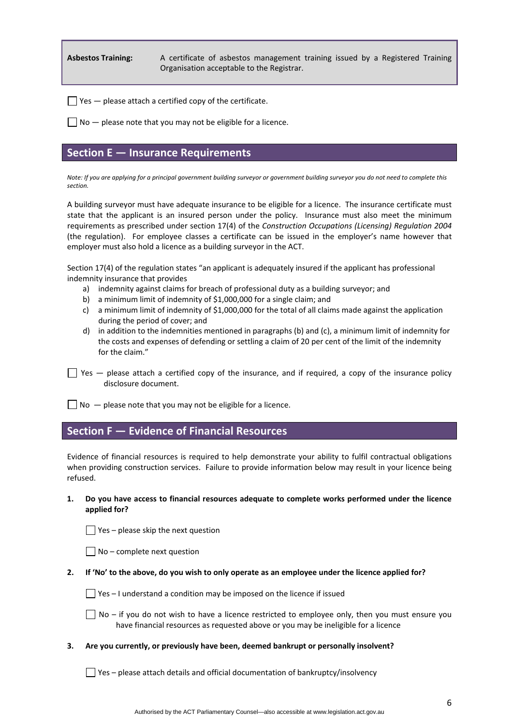**Asbestos Training:**  A certificate of asbestos management training issued by a Registered Training Organisation acceptable to the Registrar.

 $\Box$  Yes  $-$  please attach a certified copy of the certificate.

 $\Box$  No  $-$  please note that you may not be eligible for a licence.

### **Section E — Insurance Requirements**

Note: If you are applying for a principal government building surveyor or government building surveyor you do not need to complete this *section.*

A building surveyor must have adequate insurance to be eligible for a licence. The insurance certificate must state that the applicant is an insured person under the policy. Insurance must also meet the minimum requirements as prescribed under section 17(4) of the *Construction Occupations (Licensing) Regulation 2004* (the regulation). For employee classes a certificate can be issued in the employer's name however that employer must also hold a licence as a building surveyor in the ACT.

Section 17(4) of the regulation states "an applicant is adequately insured if the applicant has professional indemnity insurance that provides

- a) indemnity against claims for breach of professional duty as a building surveyor; and
- b) a minimum limit of indemnity of \$1,000,000 for a single claim; and
- c) a minimum limit of indemnity of \$1,000,000 for the total of all claims made against the application during the period of cover; and
- d) in addition to the indemnities mentioned in paragraphs (b) and (c), a minimum limit of indemnity for the costs and expenses of defending or settling a claim of 20 per cent of the limit of the indemnity for the claim."
- $\Box$  Yes  $-$  please attach a certified copy of the insurance, and if required, a copy of the insurance policy disclosure document.

 $\Box$  No  $-$  please note that you may not be eligible for a licence.

## **Section F — Evidence of Financial Resources**

Evidence of financial resources is required to help demonstrate your ability to fulfil contractual obligations when providing construction services. Failure to provide information below may result in your licence being refused.

### **1. Do you have access to financial resources adequate to complete works performed under the licence applied for?**

 $\Box$  Yes – please skip the next question

 $\Box$  No – complete next question

2. If 'No' to the above, do you wish to only operate as an employee under the licence applied for?

 $\Box$  Yes – I understand a condition may be imposed on the licence if issued

 $\Box$  No – if you do not wish to have a licence restricted to employee only, then you must ensure you have financial resources as requested above or you may be ineligible for a licence

### **3. Are you currently, or previously have been, deemed bankrupt or personally insolvent?**

 $\Box$  Yes – please attach details and official documentation of bankruptcy/insolvency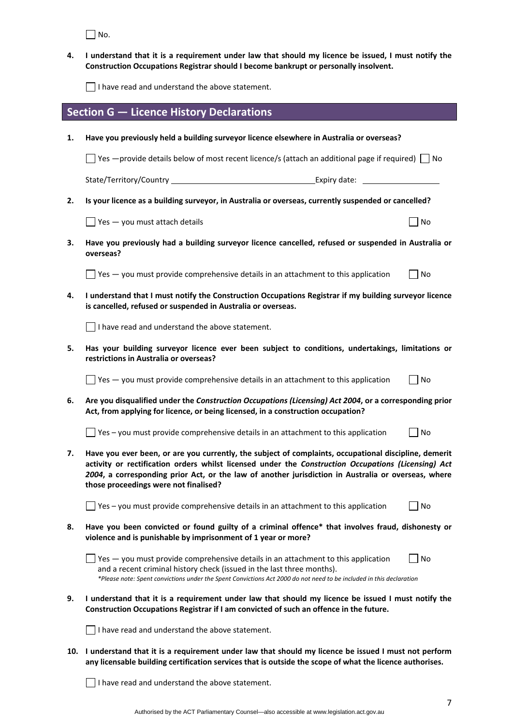$\Box$  No.

4. I understand that it is a requirement under law that should my licence be issued, I must notify the **Construction Occupations Registrar should I become bankrupt or personally insolvent.** 

I have read and understand the above statement.

|     | <b>Section G - Licence History Declarations</b>                                                                                                                                                                                                                                                                                                              |    |  |
|-----|--------------------------------------------------------------------------------------------------------------------------------------------------------------------------------------------------------------------------------------------------------------------------------------------------------------------------------------------------------------|----|--|
| 1.  | Have you previously held a building surveyor licence elsewhere in Australia or overseas?                                                                                                                                                                                                                                                                     |    |  |
|     | Set $-$ provide details below of most recent licence/s (attach an additional page if required) $\Box$ No                                                                                                                                                                                                                                                     |    |  |
|     |                                                                                                                                                                                                                                                                                                                                                              |    |  |
| 2.  | Is your licence as a building surveyor, in Australia or overseas, currently suspended or cancelled?                                                                                                                                                                                                                                                          |    |  |
|     | $\frac{1}{2}$ Yes — you must attach details                                                                                                                                                                                                                                                                                                                  | No |  |
| 3.  | Have you previously had a building surveyor licence cancelled, refused or suspended in Australia or<br>overseas?                                                                                                                                                                                                                                             |    |  |
|     | $\Box$ Yes $-$ you must provide comprehensive details in an attachment to this application                                                                                                                                                                                                                                                                   | No |  |
| 4.  | I understand that I must notify the Construction Occupations Registrar if my building surveyor licence<br>is cancelled, refused or suspended in Australia or overseas.                                                                                                                                                                                       |    |  |
|     | $\Box$ I have read and understand the above statement.                                                                                                                                                                                                                                                                                                       |    |  |
| 5.  | Has your building surveyor licence ever been subject to conditions, undertakings, limitations or<br>restrictions in Australia or overseas?                                                                                                                                                                                                                   |    |  |
|     | $\Box$ Yes $-$ you must provide comprehensive details in an attachment to this application                                                                                                                                                                                                                                                                   | No |  |
| 6.  | Are you disqualified under the Construction Occupations (Licensing) Act 2004, or a corresponding prior<br>Act, from applying for licence, or being licensed, in a construction occupation?                                                                                                                                                                   |    |  |
|     | Yes - you must provide comprehensive details in an attachment to this application                                                                                                                                                                                                                                                                            | No |  |
| 7.  | Have you ever been, or are you currently, the subject of complaints, occupational discipline, demerit<br>activity or rectification orders whilst licensed under the Construction Occupations (Licensing) Act<br>2004, a corresponding prior Act, or the law of another jurisdiction in Australia or overseas, where<br>those proceedings were not finalised? |    |  |
|     | Yes - you must provide comprehensive details in an attachment to this application                                                                                                                                                                                                                                                                            | No |  |
| 8.  | Have you been convicted or found guilty of a criminal offence* that involves fraud, dishonesty or<br>violence and is punishable by imprisonment of 1 year or more?                                                                                                                                                                                           |    |  |
|     | Yes - you must provide comprehensive details in an attachment to this application<br>and a recent criminal history check (issued in the last three months).<br>*Please note: Spent convictions under the Spent Convictions Act 2000 do not need to be included in this declaration                                                                           | No |  |
| 9.  | I understand that it is a requirement under law that should my licence be issued I must notify the<br>Construction Occupations Registrar if I am convicted of such an offence in the future.                                                                                                                                                                 |    |  |
|     | I have read and understand the above statement.                                                                                                                                                                                                                                                                                                              |    |  |
| 10. | I understand that it is a requirement under law that should my licence be issued I must not perform<br>any licensable building certification services that is outside the scope of what the licence authorises.                                                                                                                                              |    |  |
|     |                                                                                                                                                                                                                                                                                                                                                              |    |  |

I have read and understand the above statement.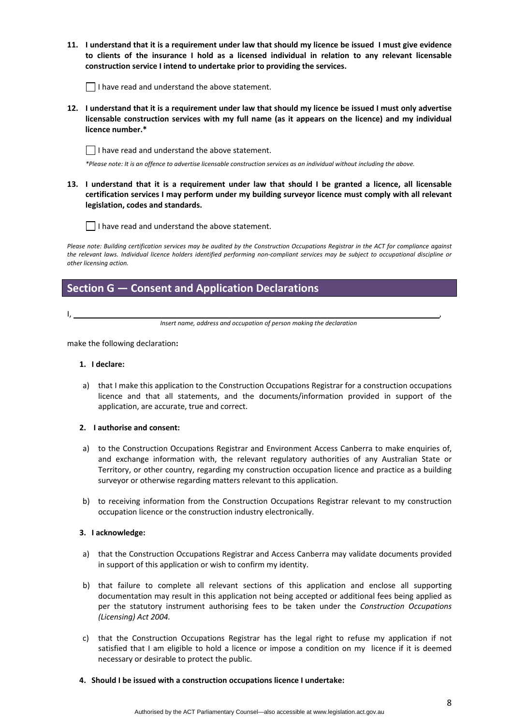11. I understand that it is a requirement under law that should my licence be issued I must give evidence **to clients of the insurance I hold as a licensed individual in relation to any relevant licensable construction service I intend to undertake prior to providing the services.** 

 $\Box$  I have read and understand the above statement.

12. I understand that it is a requirement under law that should my licence be issued I must only advertise **licensable construction services with my full name (as it appears on the licence) and my individual licence number.\*** 

 $\Box$  I have read and understand the above statement.

\*Please note: It is an offence to advertise licensable construction services as an individual without including the above.

13. I understand that it is a requirement under law that should I be granted a licence, all licensable **certification services I may perform under my building surveyor licence must comply with all relevant legislation, codes and standards.** 



Please note: Building certification services may be audited by the Construction Occupations Registrar in the ACT for compliance against the relevant laws. Individual licence holders identified performing non-compliant services may be subject to occupational discipline or *other licensing action.*

## **Section G — Consent and Application Declarations**

I, ,

*Insert name, address and occupation of person making the declaration*

make the following declaration**:**

### **1. I declare:**

a) that I make this application to the Construction Occupations Registrar for a construction occupations licence and that all statements, and the documents/information provided in support of the application, are accurate, true and correct.

### **2. I authorise and consent:**

- a) to the Construction Occupations Registrar and Environment Access Canberra to make enquiries of, and exchange information with, the relevant regulatory authorities of any Australian State or Territory, or other country, regarding my construction occupation licence and practice as a building surveyor or otherwise regarding matters relevant to this application.
- b) to receiving information from the Construction Occupations Registrar relevant to my construction occupation licence or the construction industry electronically.

### **3. I acknowledge:**

- a) that the Construction Occupations Registrar and Access Canberra may validate documents provided in support of this application or wish to confirm my identity.
- b) that failure to complete all relevant sections of this application and enclose all supporting documentation may result in this application not being accepted or additional fees being applied as per the statutory instrument authorising fees to be taken under the *Construction Occupations (Licensing) Act 2004.*
- c) that the Construction Occupations Registrar has the legal right to refuse my application if not satisfied that I am eligible to hold a licence or impose a condition on my licence if it is deemed necessary or desirable to protect the public.

### **4. Should I be issued with a construction occupations licence I undertake:**